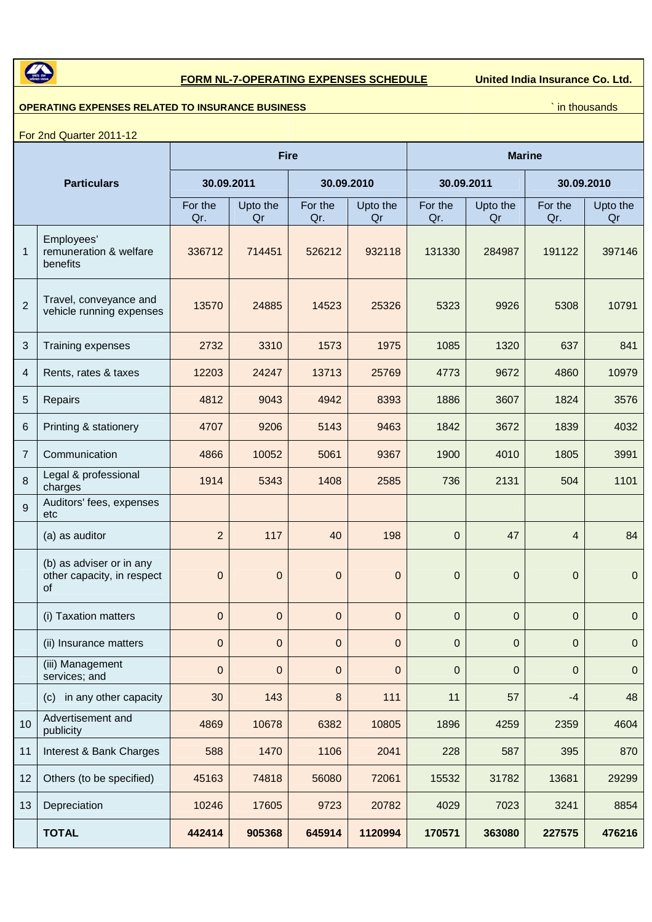

## **FORM NL-7-OPERATING EXPENSES SCHEDULE United India Insurance Co. Ltd.**

## **OPERATING EXPENSES RELATED TO INSURANCE BUSINESS NAMEL ASSESSED ASSESSMENT OF A SET OF A SET OF A SET OF A SET OF A SET OF A SET OF A SET OF A SET OF A SET OF A SET OF A SET OF A SET OF A SET OF A SET OF A SET OF A SET**

For 2nd Quarter 2011-12

| <b>Particulars</b> |                                                                     | <b>Fire</b>    |                |                |                | <b>Marine</b>    |                |                |                  |
|--------------------|---------------------------------------------------------------------|----------------|----------------|----------------|----------------|------------------|----------------|----------------|------------------|
|                    |                                                                     | 30.09.2011     |                | 30.09.2010     |                | 30.09.2011       |                | 30.09.2010     |                  |
|                    |                                                                     | For the<br>Qr. | Upto the<br>Qr | For the<br>Qr. | Upto the<br>Qr | For the<br>Qr.   | Upto the<br>Qr | For the<br>Qr. | Upto the<br>Qr   |
| $\mathbf{1}$       | Employees'<br>remuneration & welfare<br>benefits                    | 336712         | 714451         | 526212         | 932118         | 131330           | 284987         | 191122         | 397146           |
| $\overline{2}$     | Travel, conveyance and<br>vehicle running expenses                  | 13570          | 24885          | 14523          | 25326          | 5323             | 9926           | 5308           | 10791            |
| 3                  | Training expenses                                                   | 2732           | 3310           | 1573           | 1975           | 1085             | 1320           | 637            | 841              |
| 4                  | Rents, rates & taxes                                                | 12203          | 24247          | 13713          | 25769          | 4773             | 9672           | 4860           | 10979            |
| 5                  | Repairs                                                             | 4812           | 9043           | 4942           | 8393           | 1886             | 3607           | 1824           | 3576             |
| 6                  | Printing & stationery                                               | 4707           | 9206           | 5143           | 9463           | 1842             | 3672           | 1839           | 4032             |
| $\overline{7}$     | Communication                                                       | 4866           | 10052          | 5061           | 9367           | 1900             | 4010           | 1805           | 3991             |
| 8                  | Legal & professional<br>charges                                     | 1914           | 5343           | 1408           | 2585           | 736              | 2131           | 504            | 1101             |
| 9                  | Auditors' fees, expenses<br>etc                                     |                |                |                |                |                  |                |                |                  |
|                    | (a) as auditor                                                      | $\overline{2}$ | 117            | 40             | 198            | $\mathbf{0}$     | 47             | $\overline{4}$ | 84               |
|                    | (b) as adviser or in any<br>other capacity, in respect<br><b>of</b> | $\mathbf{0}$   | 0              | $\mathbf 0$    | $\mathbf{0}$   | $\boldsymbol{0}$ | 0              | 0              | $\pmb{0}$        |
|                    | (i) Taxation matters                                                | $\pmb{0}$      | 0              | $\mathbf 0$    | $\mathbf{0}$   | $\mathbf 0$      | $\mathbf 0$    | $\overline{0}$ | $\mathbf 0$      |
|                    | (ii) Insurance matters                                              | $\pmb{0}$      | 0              | 0              | $\mathbf 0$    | 0                | 0              | 0              | $\boldsymbol{0}$ |
|                    | (iii) Management<br>services; and                                   | $\pmb{0}$      | $\mathbf 0$    | $\pmb{0}$      | $\pmb{0}$      | $\pmb{0}$        | 0              | $\pmb{0}$      | $\mathbf 0$      |
|                    | in any other capacity<br>(c)                                        | 30             | 143            | $\bf 8$        | 111            | 11               | 57             | $-4$           | 48               |
| 10                 | Advertisement and<br>publicity                                      | 4869           | 10678          | 6382           | 10805          | 1896             | 4259           | 2359           | 4604             |
| 11                 | Interest & Bank Charges                                             | 588            | 1470           | 1106           | 2041           | 228              | 587            | 395            | 870              |
| 12                 | Others (to be specified)                                            | 45163          | 74818          | 56080          | 72061          | 15532            | 31782          | 13681          | 29299            |
| 13                 | Depreciation                                                        | 10246          | 17605          | 9723           | 20782          | 4029             | 7023           | 3241           | 8854             |
|                    | <b>TOTAL</b>                                                        | 442414         | 905368         | 645914         | 1120994        | 170571           | 363080         | 227575         | 476216           |